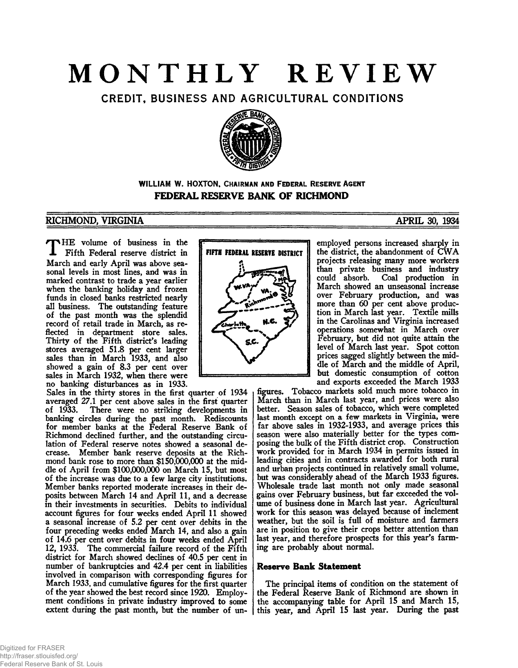# **MONTHLY REVIEW**

CREDIT, BUSINESS AND AGRICULTURAL CONDITIONS



# **WILLIAM W. HOXTON,** CHAIRMAN AND FEDERAL RESERVE AGENT **FEDERAL RESERVE BANK OF RICHMOND**

# RICHMOND, VIRGINIA TERRA EN EN ENTRE 1909, 1934

HE volume of business in the **1** Fifth Federal reserve district in March and early April was above seasonal levels in most lines, and was in marked contrast to trade a year earlier when the banking holiday and frozen funds in closed banks restricted nearly all business. The outstanding feature of the past month was the splendid record of retail trade in March, as reflected in department store sales. Thirty of the Fifth district's leading stores averaged 51.8 per cent larger sales than in March 1933, and also showed a gain of 8.3 per cent over sales in March 1932, when there were no banking disturbances as in 1933.

Sales in the thirty stores in the first quarter of 1934 averaged 27.1 per cent above sales in the first quarter of 1933. There were no striking developments in banking circles during the past month. Rediscounts for member banks at the Federal Reserve Bank of Richmond declined further, and the outstanding circulation of Federal reserve notes showed a seasonal decrease. Member bank reserve deposits at the Richmond bank rose to more than \$150,000,000 at the middle of April from \$100,000,000 on March 15, but most of the increase was due to a few large city institutions. Member banks reported moderate increases in their deposits between March 14 and April 11, and a decrease in their investments in securities. Debits to individual account figures for four weeks ended April 11 showed a seasonal increase of 5.2 per cent over debits in the four preceding weeks ended March 14, and also a gain of 14.6 per cent over debits in four weeks ended April 12, 1933. The commercial failure record of the Fifth district for March showed declines of 40.5 per cent in number of bankruptcies and 42.4 per cent in liabilities involved in comparison with corresponding figures for March 1933, and cumulative figures for the first quarter of the year showed the best record since 1920. Employment conditions in private industry improved to some extent during the past month, but the number of un-



employed persons increased sharply in the district, the abandonment of CWA projects releasing many more workers than private business and industry<br>could absorb. Coal production in Coal production in March showed an unseasonal increase over February production, and was more than 60 per cent above production in March last year. Textile mills in the Carolinas and Virginia increased operations somewhat in March over February, but did not quite attain the level of March last year. Spot cotton prices sagged slightly between the middle of March and the middle of April, but domestic consumption of cotton and exports exceeded the March 1933

figures. Tobacco markets sold much more tobacco in March than in March last year, and prices were also better. Season sales of tobacco, which were completed last month except on a few markets in Virginia, were far above sales in 1932-1933, and average prices this season were also materially better for the types composing the bulk of the Fifth district crop. Construction work provided for in March 1934 in permits issued in leading cities and in contracts awarded for both rural and urban projects continued in relatively small volume, but was considerably ahead of the March 1933 figures. Wholesale trade last month not only made seasonal gains over February business, but far exceeded the volume of business done in March last year. Agricultural work for this season was delayed because of inclement weather, but the soil is full of moisture and farmers are in position to give their crops better attention than last year, and therefore prospects for this year's farming are probably about normal.

# **Reserve Bank Statement**

The principal items of condition on the statement of the Federal Reserve Bank of Richmond are shown in the accompanying table for April 15 and March 15, this year, and April 15 last year. During the past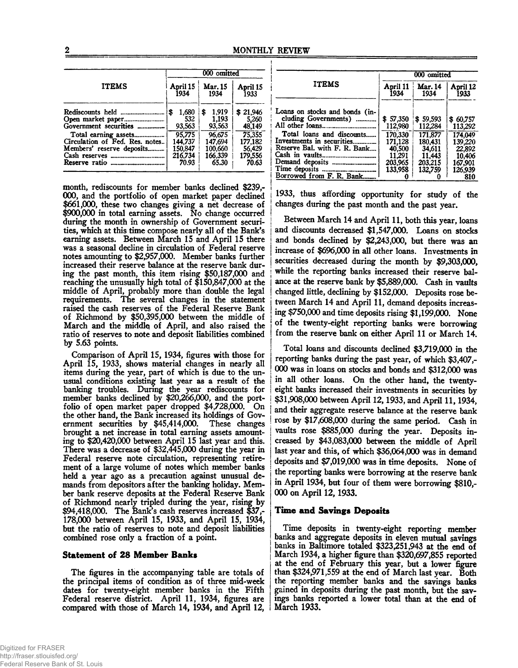|                                                                | 000 omitted                  |                                |                             |  |
|----------------------------------------------------------------|------------------------------|--------------------------------|-----------------------------|--|
| <b>ITEMS</b>                                                   | April 15                     | <b>Mar. 15</b>                 | April 15                    |  |
|                                                                | 1934                         | 1934                           | 1933                        |  |
| Rediscounts held<br>Open market paper<br>Government securities | 1,680<br>\$<br>532<br>93,563 | 1.919<br>\$<br>1.193<br>93,563 | \$21.946<br>5.260<br>48,149 |  |
| Total earning assets                                           | 95.775                       | 96.675                         | 75.355                      |  |
| Circulation of Fed. Res. notes                                 | 144.737                      | 147.694                        | 177,182                     |  |
| Members' reserve deposits                                      | 150,847                      | 100.660                        | 56,429                      |  |
|                                                                | 216.734                      | 166.339                        | 179,556                     |  |
| <b>Reserve ratio</b> ----------------------------              | 70.93                        | 65.30                          | 70.63                       |  |

month, rediscounts for member banks declined \$239,- 000, and the portfolio of open market paper declined \$661,000, these two changes giving a net decrease of \$900,000 in total earning assets. No change occurred during the month in ownership of Government securities, which at this time compose nearly all of the Bank's earning assets. Between March 15 and April IS there was a seasonal decline in circulation of Federal reserve notes amounting to \$2,957,000. Member banks further increased their reserve balance at the reserve bank during the past month, this item rising \$50,187,000 and reaching the unusually high total of \$150,847,000 at the middle of April, probably more than double the legal requirements. The several changes in the statement raised the cash reserves of the Federal Reserve Bank of Richmond by \$50,395,000 between the middle of March and the middle of April, and also raised the ratio of reserves to note and deposit liabilities combined by 5.63 points.

Comparison of April 15,1934, figures with those for April 15, 1933, shows material changes in nearly all items during the year, part of which is due to the unusual conditions existing last year as a result of the banking troubles. During the year rediscounts for member banks declined by \$20,266,000, and the portfolio of open market paper dropped \$4,728,000. On the other hand, the Bank increased its holdings of Government securities by \$45,414,000. These changes brought a net increase in total earning assets amounting to \$20,420,000 between April 15 last year and this. There was a decrease of \$32,445,000 during the year in Federal reserve note circulation, representing retirement of a large volume of notes which member banks held a year ago as a precaution against unusual demands from depositors after the banking holiday. Member bank reserve deposits at the Federal Reserve Bank of Richmond nearly tripled during the year, rising by \$94,418,000. The Bank's cash reserves increased \$37,- 178,000 between April 15, 1933, and April 15, 1934, but the ratio of reserves to note and deposit liabilities combined rose only a fraction of a point.

# **Statement of 28 Member Banks**

The figures in the accompanying table are totals of the principal items of condition as of three mid-week dates for twenty-eight member banks in the Fifth Federal reserve district. April 11, 1934, figures are compared with those of March 14, 1934, and April 12,

|                                                        | 000 omitted         |                                            |                           |  |
|--------------------------------------------------------|---------------------|--------------------------------------------|---------------------------|--|
| <b>ITEMS</b>                                           | April 11<br>1934    | <b>Mar. 14</b><br>April 12<br>1933<br>1934 |                           |  |
| Loans on stocks and bonds (in-<br>cluding Governments) | \$57.350<br>112.980 | \$59,593<br>112,284                        | \$60,757<br>113.292       |  |
| Total loans and discounts<br>Investments in securities | 170.330<br>171.128  | 171.877<br>180.431                         | 174,049<br>139.220        |  |
| Reserve Bal. with F. R. Bank                           | 40,500<br>11,291    | 34,611<br>11.443                           | 22,892<br>10,406          |  |
| Borrowed from F. R. Bank                               | 203,965<br>133.958  | 203.215<br>132,759                         | 167,901<br>126.939<br>810 |  |

1933, thus affording opportunity for study of the changes during the past month and the past year.

Between March 14 and April 11, both this year, loans and discounts decreased \$1,547,000. Loans on stocks and bonds declined by  $$2,243,000$ , but there was an increase of \$696,000 in all other loans. Investments in securities decreased during the month by \$9,303,000, while the reporting banks increased their reserve balance at the reserve bank by \$5,889,000. Cash in vaults changed little, declining by \$152,000. Deposits rose between March 14 and April 11, demand deposits increasing \$750,000 and time deposits rising \$1,199,000. None of the twenty-eight reporting banks were borrowing from the reserve bank on either April 11 or March 14.

Total loans and discounts declined \$3,719,000 in the reporting banks during the past year, of which \$3,407,- 000 was in loans on stocks and bonds and \$312,000 was in all other loans. On the other hand, the twentyeight banks increased their investments in securities by ! \$31,908,000 between April 12,1933, and April 11,1934, and their aggregate reserve balance at the reserve bank rose by \$17,608,000 during the same period. Cash in vaults rose \$885,000 during the year. Deposits increased by \$43,083,000 between the middle of April last year and this, of which \$36,064,000 was in demand deposits and \$7,019,000 was in time deposits. None of the reporting banks were borrowing at the reserve bank in April 1934, but four of them were borrowing \$810,- 000 on April 12,1933.

# **Time and Savings Deposits**

Time deposits in twenty-eight reporting member banks and aggregate deposits in eleven mutual savings banks in Baltimore totaled \$323,251,943 at the end of March 1934, a higher figure than \$320,697,855 reported at the end of February this year, but a lower figure than \$324,971,559 at the end of March last year. Both the reporting member banks and the savings banks gained in deposits during the past month, but the savings banks reported a lower total than at the end of March 1933.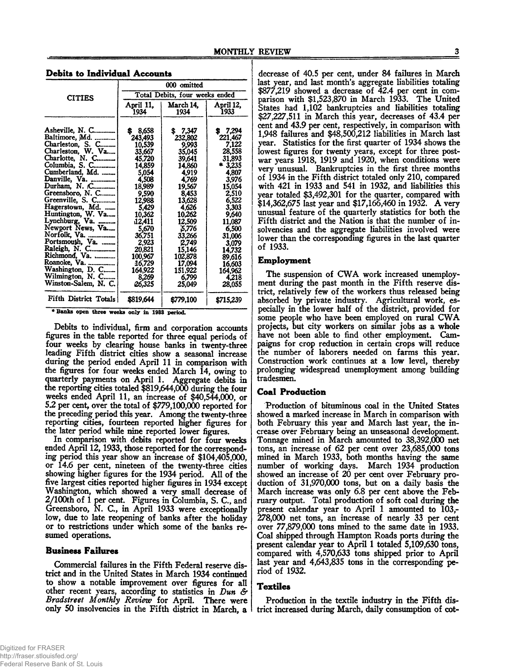|                                                                                                                                                                                                                                                                                                                                                                                   | 000 omitted                                                                                                                                                                                                      |                                                                                                                                                                                                             |                                                                                                                                                                                                            |  |
|-----------------------------------------------------------------------------------------------------------------------------------------------------------------------------------------------------------------------------------------------------------------------------------------------------------------------------------------------------------------------------------|------------------------------------------------------------------------------------------------------------------------------------------------------------------------------------------------------------------|-------------------------------------------------------------------------------------------------------------------------------------------------------------------------------------------------------------|------------------------------------------------------------------------------------------------------------------------------------------------------------------------------------------------------------|--|
| <b>CITIES</b>                                                                                                                                                                                                                                                                                                                                                                     | Total Debits, four weeks ended                                                                                                                                                                                   |                                                                                                                                                                                                             |                                                                                                                                                                                                            |  |
|                                                                                                                                                                                                                                                                                                                                                                                   | April 11,<br>1934                                                                                                                                                                                                | March 14,<br>1934                                                                                                                                                                                           | April 12,<br>1933                                                                                                                                                                                          |  |
| Asheville, N. C<br>Baltimore, Md.<br>Charleston, S. C<br>Charleston, W. Va<br>Charlotte, N. C<br>Columbia, S. C<br>Cumberland, Md.<br>Danville, Va.<br>Durham, N. C<br>Greensboro, N. C<br>Greenville, S. C<br>Hagerstown, Md.<br>Huntington, W. Va<br>Lynchburg, Va.<br>Newport News, Va<br>Norfolk, Va.<br>Portsmouth, Va.<br>Richmond, Va.<br>Roanoke, Va.<br>Washington, D. C | 8,658<br>S.<br>243,493<br>10,539<br>33,667<br>45,720<br>14,859<br>5,054<br>4,508<br>18,989<br>9.590<br>12,988<br>5,429<br>10,362<br>12,411<br>5,670<br>36,751<br>2,923<br>20,821<br>100,967<br>16,729<br>164,922 | \$7,347<br>232,802<br>9.993<br>35,045<br>39,641<br>14.860<br>4,919<br>4,769<br>19,567<br>8,453<br>13,628<br>4,626<br>10,262<br>12.509<br>5,776<br>33,266<br>2,749<br>15,146<br>102,878<br>17,094<br>151,922 | \$7,294<br>221,467<br>7,122<br>28,558<br>31,893<br>$*3,235$<br>4,807<br>3,976<br>15,054<br>2,510<br>6,522<br>3,303<br>9,640<br>11,087<br>6,500<br>31,006<br>3,079<br>14,732<br>89,616<br>16,603<br>164,962 |  |
| Wilmington, N. C<br>Winston-Salem, N. C.                                                                                                                                                                                                                                                                                                                                          | 8,269<br>26,325                                                                                                                                                                                                  | 6,799<br>25,049                                                                                                                                                                                             | 4.218<br>28,055                                                                                                                                                                                            |  |
| Fifth District Totals                                                                                                                                                                                                                                                                                                                                                             | \$819,644                                                                                                                                                                                                        | \$779,100                                                                                                                                                                                                   | \$715,239                                                                                                                                                                                                  |  |

# **Debits to Individual Accounts**

♦ Banks open three weeks only in 1933 period.

Debits to individual, firm and corporation accounts figures in the table reported for three equal periods of four weeks by clearing house banks in twenty-three leading Fifth district cities show a seasonal increase during the period ended April 11 in comparison with the figures for four weeks ended March 14, owing to quarterly payments on April 1. Aggregate debits in the reporting cities totaled \$819,644,000 during the four weeks ended April 11, an increase of \$40,544,000, or 5.2 per cent, over the total of \$779,100,000 reported for the preceding period this year. Among the twenty-three reporting cities, fourteen reported higher figures for the later period while nine reported lower figures.

In comparison with debits reported for four weeks ended April 12, 1933, those reported for the corresponding period this year show an increase of \$104,405,000, or 14.6 per cent, nineteen of the twenty-three cities showing higher figures for the 1934 period. All of the five largest cities reported higher figures in 1934 except Washington, which showed a very small decrease of 2/100th of 1 per cent. Figures in Columbia, S. C., and Greensboro, N. C., in April 1933 were exceptionally low, due to late reopening of banks after the holiday or to restrictions under which some of the banks resumed operations.

#### **Business Failures**

Commercial failures in the Fifth Federal reserve district and in the United States in March 1934 continued to show a notable improvement over figures for all other recent years, according to statistics in *Dun & Bradstreet Monthly Review* for April. There were only 50 insolvencies in the Fifth district in March, a

decrease of 40.5 per cent, under 84 failures in March last year, and last month's aggregate liabilities totaling \$877,219 showed a decrease of 42.4 per cent in comparison with \$1,523,870 in March 1933. The United States had 1,102 bankruptcies and liabilities totaling \$27,227,511 in March this year, decreases of 43.4 per cent and 43.9 per cent, respectively, in comparison with 1,948 failures and \$48,500,212 liabilities in March last year. Statistics for the first quarter of 1934 shows the lowest figures for twenty years, except for three postwar years 1918, 1919 and 1920, when conditions were very unusual. Bankruptcies in the first three months of 1934 in the Fifth district totaled only 210, compared with 421 in 1933 and 541 in 1932, and liabilities this year totaled \$3,492,301 for the quarter, compared with \$14,362,675 last year and \$17,166,460 in 1932. A very unusual feature of the quarterly statistics for both the Fifth district and the Nation is that the number of insolvencies and the aggregate liabilities involved were lower than the corresponding figures in the last quarter of 1933.

#### **Employment**

The suspension of CWA work increased unemployment during the past month in the Fifth reserve district, relatively few of the workers thus released being absorbed by private industry. Agricultural work, especially in the lower half of the district, provided for some people who have been employed on rural CWA projects, but city workers on similar jobs as a whole have not been able to find other employment. Campaigns for crop reduction in certain crops will reduce the number of laborers needed on farms this year. Construction work continues at a low level, thereby prolonging widespread unemployment among building tradesmen.

#### **Coal Production**

Production of bituminous coal in the United States showed a marked increase in March in comparison with both February this year and March last year, the increase over February being an unseasonal development. Tonnage mined in March amounted to 38,392,000 net tons, an increase of 62 per cent over 23,685,000 tons mined in March 1933, both months having the same number of working days. March 1934 production showed an increase of 20 per cent over February production of 31,970,000 tons, but on a daily basis the March increase was only 6.8 per cent above the February output. Total production of soft coal during the present calendar year to April 1 amounted to 103,- 278,000 net tons, an increase of nearly 33 per cent over 77,879,000 tons mined to the same date in 1933. Coal shipped through Hampton Roads ports during the present calendar year to April 1 totaled 5,109,630 tons, compared with 4,570,633 tons shipped prior to April last year and 4,643,835 tons in the corresponding period of 1932.

# **Textiles**

Production in the textile industry in the Fifth district increased during March, daily consumption of cot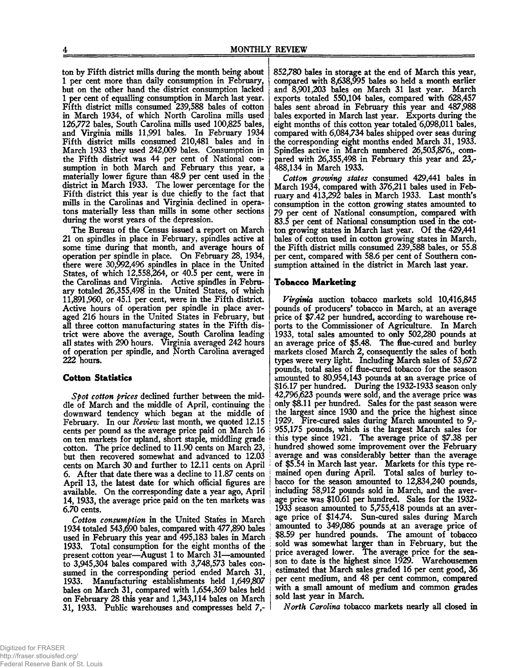ton by Fifth district mills during the month being about 1 per cent more than daily consumption in February, but on the other hand the district consumption lacked 1 per cent of equalling consumption in March last year. Fifth district mills consumed 239,588 bales of cotton in March 1934, of which North Carolina mills used 126,772 bales, South Carolina mills used 100,825 bales, and Virginia mills 11,991 bales. In February 1934 Fifth district mills consumed 210,481 bales and in March 1933 they used 242,009 bales. Consumption in the Fifth district was 44 per cent of National consumption in both March and February this year, a materially lower figure than 48.9 per cent used in the district in March 1933. The lower percentage for the Fifth district this year is due chiefly to the fact that mills in the Carolinas and Virginia declined in operatons materially less than mills in some other sections during the worst years of the depression.

The Bureau of the Census issued a report on March 21 on spindles in place in February, spindles active at some time during that month, and average hours of operation per spindle in place. On February 28, 1934, there were 30,992,496 spindles in place in the United States, of which 12,558,264, or 40.5 per cent, were in the Carolinas and Virginia. Active spindles in February totaled 26,355,498 in the United States, of which 11,891,960, or 45.1 per cent, were in the Fifth district. Active hours of operation per spindle in place averaged 216 hours in the United States in February, but all three cotton manufacturing states in the Fifth district were above the average, South Carolina leading all states with 290 hours. Virginia averaged 242 hours of operation per spindle, and North Carolina averaged 222 hours.

# Cotton Statistics

*Spot cotton prices* declined further between the middle of March and the middle of April, continuing the downward tendency which began at the middle of February. In our *Review* last month, we quoted 12.15 cents per pound as the average price paid on March 16 on ten markets for upland, short staple, middling grade cotton. The price declined to 11.90 cents on March 23, but then recovered somewhat and advanced to 12.03 cents on March 30 and further to 12.11 cents on April 6. After that date there was a decline to 11.87 cents on April 13, the latest date for which official figures are available. On the corresponding date a year ago, April 14,1933, the average price paid on the ten markets was 6.70 cents.

*Cotton consumption* in the United States in March 1934 totaled 543,690 bales, compared with 477,890 bales used in February this year and 495,183 bales in March 1933. Total consumption for the eight months of the present cotton year—August 1 to March 31—amounted to 3,945,304 bales compared with 3,748,573 bales consumed in the corresponding period ended March 31, 1933. Manufacturing establishments held 1,649,807 bales on March 31, compared with 1,654,369 bales held on February 28 this year and 1,343,114 bales on March 31, 1933. Public warehouses and compresses held 7,-

852,780 bales in storage at the end of March this year, compared with 8,638,995 bales so held a month earlier and 8,901,203 bales on March 31 last year. March exports totaled 550,104 bales, compared with 628,457 bales sent abroad in February this year and 487,988 bales exported in March last year. Exports during the eight months of this cotton year totaled 6,098,011 bales, compared with 6,084,734 bales shipped over seas during the corresponding eight months ended March 31, 1933. Spindles active in March numbered 26,503,876,, compared with 26,355,498 in February this year and 23,- 488,134 in March 1933.

*Cotton growing states* consumed 429,441 bales in March 1934, compared with 376,211 bales used in February and 413,292 bales in March 1933. Last month's consumption in the cotton growing states amounted to 79 per cent of National consumption, compared with 83.5 per cent of National consumption used in the cotton growing states in March last year. Of the 429,441 bales of cotton used in cotton growing states in March, the Fifth district mills consumed 239,588 bales, or 55.8 per cent, compared with 58.6 per cent of Southern consumption attained in the district in March last year.

# Tobacco Marketing

*Virginia* auction tobacco markets sold 10,416,845 pounds of producers' tobacco in March, at an average price of \$7.42 per hundred, according to warehouse reports to the Commissioner of Agriculture. In March 1933, total sales amounted to only  $502,280$  pounds at an average price of \$5.48. The flue-cured and burley markets closed March 2, consequently the sales of both types were very light. Including March sales of 53,672 pounds, total sales of flue-cured tobacco for the season amounted to 80,954,143 pounds at an average price of \$16.17 per hundred. During the 1932-1933 season only 42,796,623 pounds were sold, and the average price was only \$8.11 per hundred. Sales for the past season were the largest since 1930 and the price the highest since 1929. Fire-cured sales during March amounted to 9,- 955,175 pounds, which is the largest March sales for this type since 1921. The average price of \$7.38 per hundred showed some improvement over the February average and was considerably better than the average of \$5.54 in March last year. Markets for this type remained open during April. Total sales of burley tobacco for the season amounted to 12,834,240 pounds, including 58,912 pounds sold in March, and the average price was \$10.61 per hundred. Sales for the 1932- 1933 season amounted to 5,755,418 pounds at an average price of \$14.74. Sun-cured sales during March amounted to 349,086 pounds at an average price of \$8.59 per hundred pounds. The amount of tobacco sold was somewhat larger than in February, but the price averaged lower. The average price for the season to date is the highest since 1929. Warehousemen estimated that March sales graded 16 per cent good, 36 per cent medium, and 48 per cent common, compared with a small amount of medium and common grades sold last year in March.

*North Carolina* tobacco markets nearly all closed in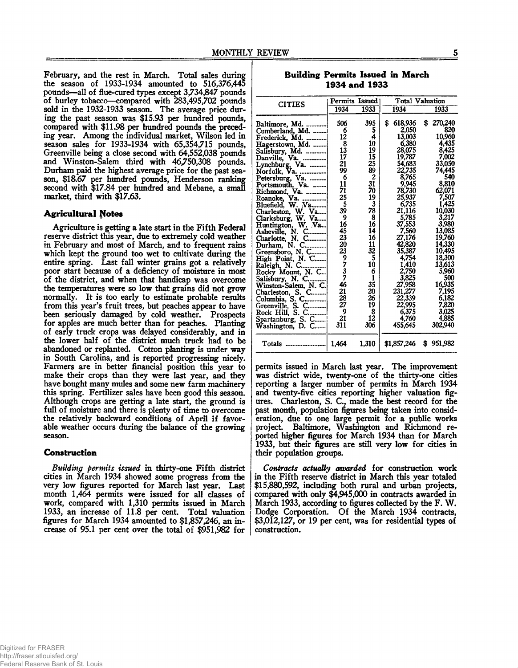February, and the rest in March. Total sales during the season of 1933-1934 amounted to 516,376,445 pounds—all of flue-cured types except 3,734,847 pounds of burley tobacco—compared with 283,495,702 pounds sold in the 1932-1933 season. The average price during the past season was \$15.93 per hundred pounds, compared with \$11.98 per hundred pounds the preceding year. Among the individual market, Wilson led in season sales for 1933-1934 with 65,354,715 pounds, Greenville being a close second with 64,552,038 pounds and Winston-Salem third with 46,750,308 pounds. Durham paid the highest average price for the past season, \$18.67 per hundred pounds, Henderson ranking second with \$17.84 per hundred and Mebane, a small market, third with \$17.63.

# **Agricultural Notes**

Agriculture is getting a late start in the Fifth Federal reserve district this year, due to extremely cold weather in February and most of March, and to frequent rains which kept the ground too wet to cultivate during the entire spring. Last fall winter grains got a relatively poor start because of a deficiency of moisture in most of the district, and when that handicap was overcome the temperatures were so low that grains did not grow normally. It is too early to estimate probable results from this year's fruit trees, but peaches appear to have been seriously damaged by cold weather. Prospects for apples are much better than for peaches. Planting of early truck crops was delayed considerably, and in the lower half of the district much truck had to be abandoned or replanted. Cotton planting is under way in South Carolina, and is reported progressing nicely. Farmers are in better financial position this year to make their crops than they were last year, and they have bought many mules and some new farm machinery this spring. Fertilizer sales have been good this season. Although crops are getting a late start, the ground is full of moisture and there is plenty of time to overcome the relatively backward conditions of April if favorable weather occurs during the balance of the growing season.

#### **Construction**

*Building permits issued* in thirty-one Fifth district cities in March 1934 showed some progress from the very low figures reported for March last year. Last month 1,464 permits were issued for all dasses of work, compared with 1,310 permits issued in March 1933, an increase of 11.8 per cent. Total valuation figures for March 1934 amounted to \$1,857,246, an increase of 95.1 per cent over the total of \$951,982 for

Building Permits Issued in March 1934 and 1933

|                                                                                                                                                                                                                                                                                                                                                                                                                                                                                                                                                                       | Permits Issued                                                                                                                                                                       |                                                                                                                                                                                              |                                                                                                                                                                                                                                                                                   | <b>Total Valuation</b>                                                                                                                                                                                                                                                |
|-----------------------------------------------------------------------------------------------------------------------------------------------------------------------------------------------------------------------------------------------------------------------------------------------------------------------------------------------------------------------------------------------------------------------------------------------------------------------------------------------------------------------------------------------------------------------|--------------------------------------------------------------------------------------------------------------------------------------------------------------------------------------|----------------------------------------------------------------------------------------------------------------------------------------------------------------------------------------------|-----------------------------------------------------------------------------------------------------------------------------------------------------------------------------------------------------------------------------------------------------------------------------------|-----------------------------------------------------------------------------------------------------------------------------------------------------------------------------------------------------------------------------------------------------------------------|
|                                                                                                                                                                                                                                                                                                                                                                                                                                                                                                                                                                       | 1934                                                                                                                                                                                 | 1933                                                                                                                                                                                         | 1934                                                                                                                                                                                                                                                                              | 1933                                                                                                                                                                                                                                                                  |
| <b>CITIES</b><br>Baltimore, Md.<br>Cumberland, Md.<br>Frederick, Md.<br>Hagerstown, Md.<br>Salisbury, Md.<br>Danville, Va.<br>Lynchburg, Va.<br>Norfolk, Va.<br>Petersburg, Va.<br>Portsmouth, Va.<br>Richmond, Va.<br>Roanoke, Va.<br>Bluefield, W. Va<br>Charleston, W.<br>Va<br>Clarksburg, W. Va<br>Huntington, W. Va<br>Asheville, N. C<br>Charlotte, N. C<br>C<br>Durham, N.<br>Greensboro, N. C<br>High Point, N. C<br>Raleigh, N. C<br>Rocky Mount, N. C<br>Salisbury, N. C<br>Winston-Salem, N. C.<br>Charleston, S. C<br>Columbia, S. C<br>Greenville, S. C | 506<br>6<br>12<br>$\bar{\textbf{3}}\ \textbf{13}$<br>17<br>21<br>99<br>6<br>11<br>71<br>25<br>5<br>39<br>9<br>16<br>45<br>23<br>20<br>23<br>9<br>7<br>3<br>7<br>46<br>21<br>28<br>27 | 395<br>5<br>4<br>10<br>19<br><b>15</b><br>25<br>89<br>$\overline{c}$<br>31<br>70<br>19<br>3<br>78<br>8<br>16<br>14<br>16<br>11<br>32<br>5<br>10<br>6<br>$\mathbf{1}$<br>35<br>20<br>26<br>19 | \$<br>618,936<br>2.050<br>13,003<br>6.380<br>28,075<br>19,787<br>54,683<br>22,735<br>8,765<br>9,945<br>78,730<br>25,937<br>6,735<br>21.116<br>5,785<br>37,553<br>7.560<br>27,176<br>42,820<br>35,387<br>4.754<br>1,410<br>2,750<br>3,825<br>27,958<br>231,277<br>22,339<br>22,995 | 270,240<br>S<br>820<br>10,960<br>4,435<br>8,425<br>7,002<br>33,050<br>74.445<br>540<br>8,810<br>62,071<br>7,507<br>1,425<br>10,030<br>3,217<br>3.980<br>13,085<br>19,760<br>14,330<br>10,495<br>18,300<br>13,613<br>5.960<br>500<br>16,935<br>7.195<br>6,182<br>7,820 |
| Rock Hill, S. C<br>Spartanburg, S. C<br>Washington, D. C                                                                                                                                                                                                                                                                                                                                                                                                                                                                                                              | 9<br>21<br>311                                                                                                                                                                       | 8<br>12<br>306                                                                                                                                                                               | 6,375<br>4.760<br>455,645                                                                                                                                                                                                                                                         | 3.025<br>4,885<br>302,940                                                                                                                                                                                                                                             |
| Totals                                                                                                                                                                                                                                                                                                                                                                                                                                                                                                                                                                | 1.464                                                                                                                                                                                | 1.310                                                                                                                                                                                        | \$1,857,246                                                                                                                                                                                                                                                                       | \$951,982                                                                                                                                                                                                                                                             |

permits issued in March last year. The improvement was district wide, twenty-one of the thirty-one cities reporting a larger number of permits in March 1934 and twenty-five cities reporting higher valuation figures. Charleston, S. C., made the best record for the past month, population figures being taken into consideration, due to one large permit for a public works project. Baltimore, Washington and Richmond reported higher figures for March 1934 than for March 1933, but their figures are still very low for cities in their population groups.

*Contracts actually awarded* for construction work in the Fifth reserve district in March this year totaled \$15,880,592, including both rural and urban projects, compared with only \$4,945,000 in contracts awarded in March 1933, according to figures collected by the F. W. Dodge Corporation. Of the March 1934 contracts, \$3,012,127, or 19 per cent, was for residential types of construction.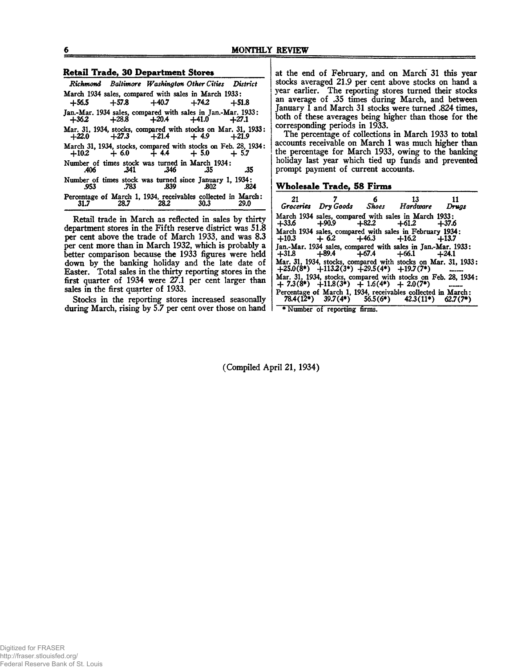#### Retail Trade, 30 Department Stores\_\_\_\_\_\_\_\_\_

|      |      |               | Richmond Baltimore Washington Other Cities District                                                     |      |
|------|------|---------------|---------------------------------------------------------------------------------------------------------|------|
|      |      |               | March 1934 sales, compared with sales in March 1933:                                                    |      |
|      |      |               | $+56.5$ $+57.8$ $+40.7$ $+74.2$ $+51.8$                                                                 |      |
|      |      |               | Jan.-Mar. 1934 sales, compared with sales in Jan.-Mar. 1933:<br>$+36.2$ $+28.8$ $+20.4$ $+41.0$ $+27.1$ |      |
|      |      |               | Mar. 31, 1934, stocks, compared with stocks on Mar. 31, 1933:<br>$+22.0 +27.3 +21.4 +4.9 +21.9$         |      |
|      |      |               | March 31, 1934, stocks, compared with stocks on Feb. 28, 1934:<br>$+10.2 + 6.0 + 4.4 + 5.0 + 5.7$       |      |
| .406 |      | .341 .346 .35 | Number of times stock was turned in March 1934:                                                         | .35  |
| .953 |      | .783 .839     | Number of times stock was turned since January 1, 1934:<br>- 802                                        | .824 |
|      | 28.7 | 28.2          | Percentage of March 1, 1934, receivables collected in March:<br>30.3                                    | 29.0 |

Retail trade in March as reflected in sales by thirty department stores in the Fifth reserve district was 51.8 per cent above the trade of March 1933, and was 8.3 per cent more than in March 1932, which is probably a better comparison because the 1933 figures were held down by the banking holiday and the late date of Easter. Total sales in the thirty reporting stores in the first quarter of 1934 were 27.1 per cent larger than sales in the first quarter of 1933.

Stocks in the reporting stores increased seasonally during March, rising by 5.7 per cent over those on hand

at the end of February, and on March 31 this year stocks averaged 21.9 per cent above stocks on hand a year earlier. The reporting stores turned their stocks an average of .35 times during March, and between January 1 and March 31 stocks were turned .824 times, both of these averages being higher than those for the corresponding periods in 1933.

The percentage of collections in March 1933 to total accounts receivable on March 1 was much higher than the percentage for March 1933, owing to the banking holiday last year which tied up funds and prevented prompt payment of current accounts.

# Wholesale Trade, 58 Firms\_\_\_\_\_\_\_\_\_\_\_\_\_\_\_\_

| 21      |                                                | $6 \qquad 13$<br>Groceries Dry Goods Shoes Hardware Drugs                                                             |  |
|---------|------------------------------------------------|-----------------------------------------------------------------------------------------------------------------------|--|
| $+33.6$ |                                                | March 1934 sales, compared with sales in March 1933;<br>$+90.9$ $+82.2$ $+61.2$ $+37.6$                               |  |
|         |                                                | March 1934 sales, compared with sales in February 1934:<br>$+10.3 + 6.2 + 46.3 + 16.2 + 13.7$                         |  |
|         |                                                | Jan.-Mar. 1934 sales, compared with sales in Jan.-Mar. 1933:<br>$+31.8$ $+89.4$ $+67.4$ $+66.1$ $+24.1$               |  |
|         |                                                | Mar. 31, 1934, stocks, compared with stocks on Mar. 31, 1933;<br>$+25.0(8^*)$ $+113.2(3^*)$ $+29.5(4^*)$ $+19.7(7^*)$ |  |
|         | $+ 7.3(8^*) + 11.8(3^*) + 1.6(4^*) + 2.0(7^*)$ | Mar. 31, 1934, stocks, compared with stocks on Feb. 28, 1934:                                                         |  |
|         |                                                | Percentage of March 1, 1934, receivables collected in March:<br>78.4(12*) 39.7(4*) 56.5(6*) 42.3(11*) 62.7(7*)        |  |

\* Number of reporting firms.

(Compiled April 21,1934)